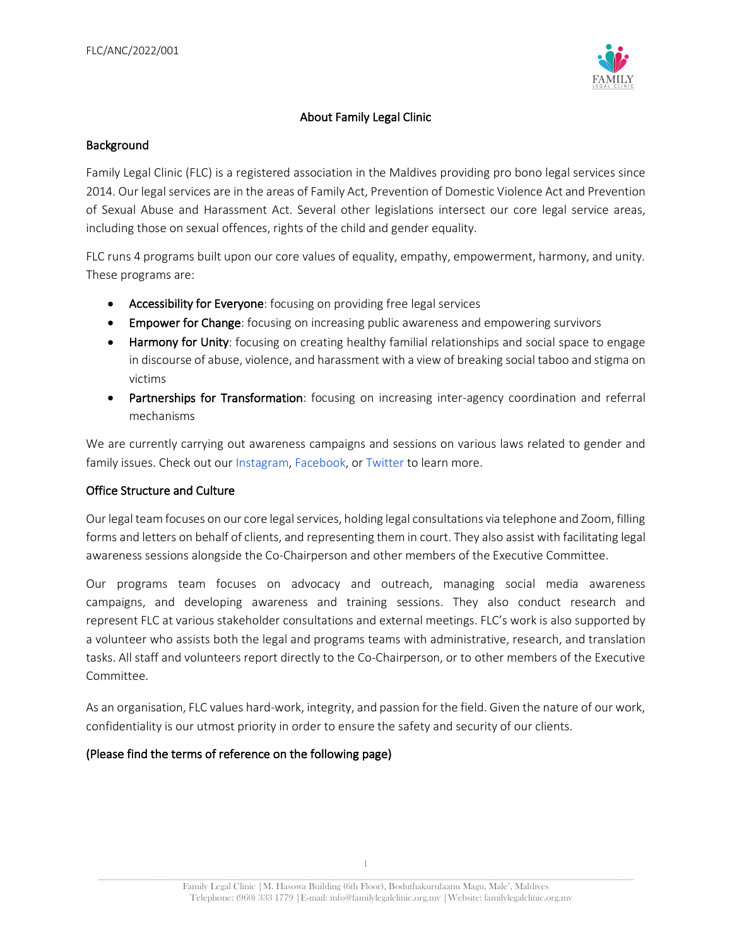

## About Family Legal Clinic

### **Background**

Family Legal Clinic (FLC) is a registered association in the Maldives providing pro bono legal services since 2014. Our legal services are in the areas of Family Act, Prevention of Domestic Violence Act and Prevention of Sexual Abuse and Harassment Act. Several other legislations intersect our core legal service areas, including those on sexual offences, rights of the child and gender equality.

FLC runs 4 programs built upon our core values of equality, empathy, empowerment, harmony, and unity. These programs are:

- Accessibility for Everyone: focusing on providing free legal services
- Empower for Change: focusing on increasing public awareness and empowering survivors
- Harmony for Unity: focusing on creating healthy familial relationships and social space to engage in discourse of abuse, violence, and harassment with a view of breaking social taboo and stigma on victims
- Partnerships for Transformation: focusing on increasing inter-agency coordination and referral mechanisms

We are currently carrying out awareness campaigns and sessions on various laws related to gender and family issues. Check out our Instagram, Facebook, or Twitter to learn more.

#### Office Structure and Culture

Our legal team focuses on our core legal services, holding legal consultations via telephone and Zoom, filling forms and letters on behalf of clients, and representing them in court. They also assist with facilitating legal awareness sessions alongside the Co-Chairperson and other members of the Executive Committee.

Our programs team focuses on advocacy and outreach, managing social media awareness campaigns, and developing awareness and training sessions. They also conduct research and represent FLC at various stakeholder consultations and external meetings. FLC's work is also supported by a volunteer who assists both the legal and programs teams with administrative, research, and translation tasks. All staff and volunteers report directly to the Co-Chairperson, or to other members of the Executive Committee.

As an organisation, FLC values hard-work, integrity, and passion for the field. Given the nature of our work, confidentiality is our utmost priority in order to ensure the safety and security of our clients.

#### (Please find the terms of reference on the following page)